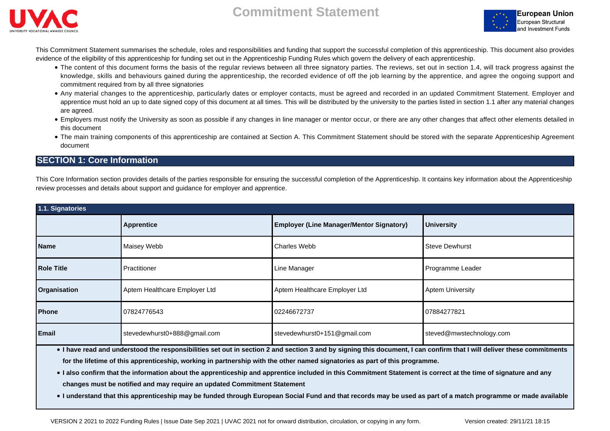





This Commitment Statement summarises the schedule, roles and responsibilities and funding that support the successful completion of this apprenticeship. This document also provides evidence of the eligibility of this apprenticeship for funding set out in the Apprenticeship Funding Rules which govern the delivery of each apprenticeship.

- The content of this document forms the basis of the regular reviews between all three signatory parties. The reviews, set out in section 1.4, will track progress against the knowledge, skills and behaviours gained during the apprenticeship, the recorded evidence of off the job learning by the apprentice, and agree the ongoing support and commitment required from by all three signatories
- Any material changes to the apprenticeship, particularly dates or employer contacts, must be agreed and recorded in an updated Commitment Statement. Employer and apprentice must hold an up to date signed copy of this document at all times. This will be distributed by the university to the parties listed in section 1.1 after any material changes are agreed.
- Employers must notify the University as soon as possible if any changes in line manager or mentor occur, or there are any other changes that affect other elements detailed in this document
- The main training components of this apprenticeship are contained at Section A. This Commitment Statement should be stored with the separate Apprenticeship Agreement document

## **SECTION 1: Core Information**

This Core Information section provides details of the parties responsible for ensuring the successful completion of the Apprenticeship. It contains key information about the Apprenticeship review processes and details about support and guidance for employer and apprentice.

| 1.1. Signatories                                                                                                                                                                                                                                                                                      |                                                                      |                                              |                          |  |  |
|-------------------------------------------------------------------------------------------------------------------------------------------------------------------------------------------------------------------------------------------------------------------------------------------------------|----------------------------------------------------------------------|----------------------------------------------|--------------------------|--|--|
|                                                                                                                                                                                                                                                                                                       | <b>Employer (Line Manager/Mentor Signatory)</b><br><b>Apprentice</b> |                                              | <b>University</b>        |  |  |
| <b>Name</b>                                                                                                                                                                                                                                                                                           | Maisey Webb                                                          | <b>Charles Webb</b><br><b>Steve Dewhurst</b> |                          |  |  |
| <b>Role Title</b>                                                                                                                                                                                                                                                                                     | Practitioner                                                         | Line Manager                                 | Programme Leader         |  |  |
| <b>Organisation</b>                                                                                                                                                                                                                                                                                   | Aptem Healthcare Employer Ltd                                        | Aptem Healthcare Employer Ltd                | <b>Aptem University</b>  |  |  |
| Phone                                                                                                                                                                                                                                                                                                 | 07824776543                                                          | 02246672737                                  | 07884277821              |  |  |
| <b>Email</b>                                                                                                                                                                                                                                                                                          | stevedewhurst0+888@gmail.com                                         | stevedewhurst0+151@gmail.com                 | steved@mwstechnology.com |  |  |
| . I have read and understood the responsibilities set out in section 2 and section 3 and by signing this document, I can confirm that I will deliver these commitments<br>for the lifetime of this apprenticeship, working in partnership with the other named signatories as part of this programme. |                                                                      |                                              |                          |  |  |

● I also confirm that the information about the apprenticeship and apprentice included in this Commitment Statement is correct at the time of signature and any **changes must be notified and may require an updated Commitment Statement**

● **I understand that this apprenticeship may be funded through European Social Fund and that records may be used as part of a match programme or made available**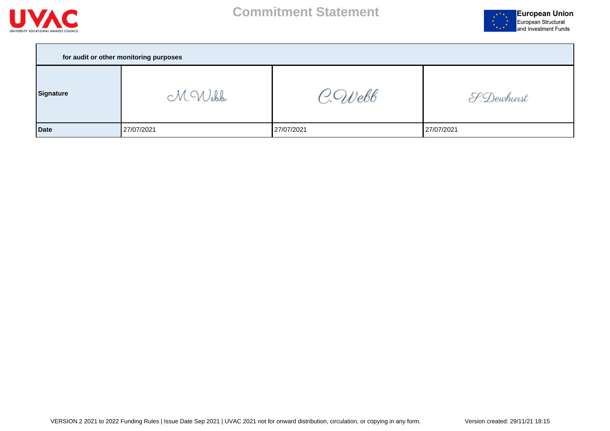



| for audit or other monitoring purposes |            |            |            |  |  |  |
|----------------------------------------|------------|------------|------------|--|--|--|
| Signature                              | M.Webb     | C.Webb     | S.Dewhurst |  |  |  |
| <b>Date</b>                            | 27/07/2021 | 27/07/2021 | 27/07/2021 |  |  |  |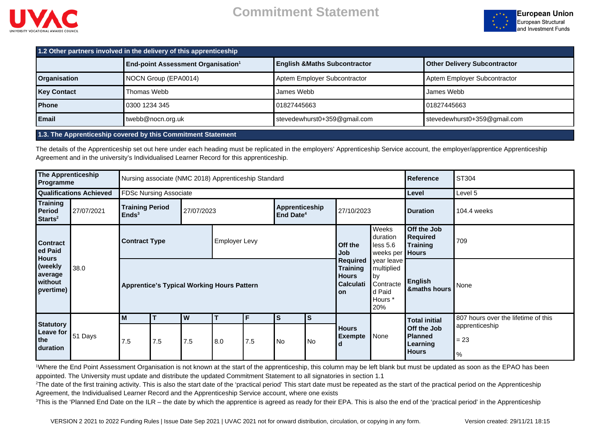



| 1.2 Other partners involved in the delivery of this apprenticeship |                                                                                                  |                              |                                     |  |  |
|--------------------------------------------------------------------|--------------------------------------------------------------------------------------------------|------------------------------|-------------------------------------|--|--|
|                                                                    | <b>End-point Assessment Organisation<sup>1</sup></b><br><b>English &amp; Maths Subcontractor</b> |                              | <b>Other Delivery Subcontractor</b> |  |  |
| <b>Organisation</b>                                                | NOCN Group (EPA0014)                                                                             | Aptem Employer Subcontractor | Aptem Employer Subcontractor        |  |  |
| <b>Key Contact</b>                                                 | Thomas Webb                                                                                      | James Webb                   | James Webb                          |  |  |
| <b>Phone</b>                                                       | 0300 1234 345                                                                                    | 01827445663                  | Ⅰ01827445663                        |  |  |
| l Email                                                            | twebb@nocn.org.uk                                                                                | stevedewhurst0+359@gmail.com | stevedewhurst0+359@gmail.com        |  |  |

### **1.3. The Apprenticeship covered by this Commitment Statement**

The details of the Apprenticeship set out here under each heading must be replicated in the employers' Apprenticeship Service account, the employer/apprentice Apprenticeship Agreement and in the university's Individualised Learner Record for this apprenticeship.

| The Apprenticeship<br>Programme                                    |                                | Nursing associate (NMC 2018) Apprenticeship Standard |                               |            |                                         |                                                                                                                                                             | Reference                      | ST304                                       |                |                                                  |                                                           |                                     |
|--------------------------------------------------------------------|--------------------------------|------------------------------------------------------|-------------------------------|------------|-----------------------------------------|-------------------------------------------------------------------------------------------------------------------------------------------------------------|--------------------------------|---------------------------------------------|----------------|--------------------------------------------------|-----------------------------------------------------------|-------------------------------------|
|                                                                    | <b>Qualifications Achieved</b> |                                                      | <b>FDSc Nursing Associate</b> |            |                                         |                                                                                                                                                             |                                |                                             |                |                                                  | Level                                                     | Level 5                             |
| Training<br><b>Period</b><br>$\textsf{Starts}^2$                   | 27/07/2021                     | <b>Training Period</b><br>Ends <sup>3</sup>          |                               | 27/07/2023 | Apprenticeship<br>End Date <sup>4</sup> |                                                                                                                                                             |                                | 27/10/2023                                  |                | <b>Duration</b>                                  | 104.4 weeks                                               |                                     |
| <b>Contract</b><br>ed Paid                                         |                                | <b>Contract Type</b>                                 |                               |            | <b>Employer Levy</b>                    |                                                                                                                                                             |                                |                                             | Off the<br>Job | Weeks<br>duration<br>less 5.6<br>weeks per Hours | Off the Job<br><b>Required</b><br><b>Training</b>         | 709                                 |
| <b>Hours</b><br>(weekly<br>38.0<br>average<br>without<br>pvertime) |                                | <b>Apprentice's Typical Working Hours Pattern</b>    |                               |            |                                         | <b>Required</b><br>year leave<br><b>Training</b><br>multiplied<br><b>Hours</b><br>  by<br><b>Calculati</b><br>Contracte<br>d Paid<br>l on<br>Hours *<br>20% | <b>English</b><br>&maths hours | None                                        |                |                                                  |                                                           |                                     |
|                                                                    |                                | M                                                    |                               | W          |                                         |                                                                                                                                                             | S                              | lS                                          |                |                                                  | <b>Total initial</b>                                      | 807 hours over the lifetime of this |
| <b>Statutory</b><br>Leave for<br>51 Days<br>the<br>duration        | 7.5                            | 7.5                                                  | 7.5                           | 8.0        | 7.5                                     | No                                                                                                                                                          | l No                           | <b>Hours</b><br>None<br><b>Exempte</b><br>d |                |                                                  | <b>Off the Job</b><br>Planned<br>Learning<br><b>Hours</b> | apprenticeship<br>$= 23$<br>$\%$    |

<sup>1</sup>Where the End Point Assessment Organisation is not known at the start of the apprenticeship, this column may be left blank but must be updated as soon as the EPAO has been appointed. The University must update and distribute the updated Commitment Statement to all signatories in section 1.1

<sup>2</sup>The date of the first training activity. This is also the start date of the 'practical period' This start date must be repeated as the start of the practical period on the Apprenticeship Agreement, the Individualised Learner Record and the Apprenticeship Service account, where one exists

<sup>3</sup>This is the 'Planned End Date on the ILR – the date by which the apprentice is agreed as ready for their EPA. This is also the end of the 'practical period' in the Apprenticeship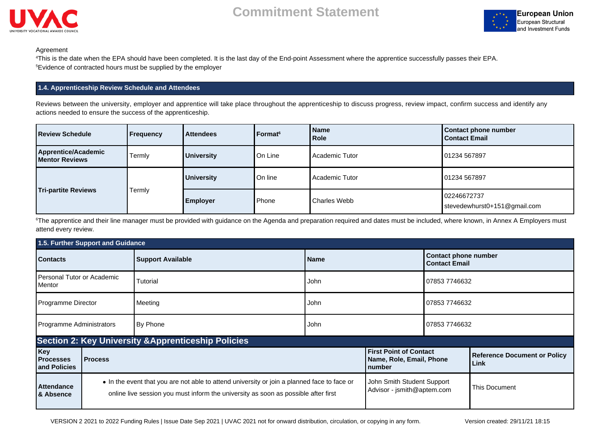



#### Agreement

<sup>4</sup>This is the date when the EPA should have been completed. It is the last day of the End-point Assessment where the apprentice successfully passes their EPA. <sup>5</sup>Evidence of contracted hours must be supplied by the employer

### **1.4. Apprenticeship Review Schedule and Attendees**

Reviews between the university, employer and apprentice will take place throughout the apprenticeship to discuss progress, review impact, confirm success and identify any actions needed to ensure the success of the apprenticeship.

| Review Schedule                              | Frequency | <b>Attendees</b>  | Format <sup>6</sup> | l Name<br>l Role      | <b>Contact phone number</b><br><b>Contact Email</b> |
|----------------------------------------------|-----------|-------------------|---------------------|-----------------------|-----------------------------------------------------|
| Apprentice/Academic<br><b>Mentor Reviews</b> | Termly    | <b>University</b> | On Line             | <b>Academic Tutor</b> | 01234 567897                                        |
| <b>Tri-partite Reviews</b>                   | Termly    | <b>University</b> | On line             | <b>Academic Tutor</b> | 01234 567897                                        |
|                                              |           | <b>Employer</b>   | Phone               | Charles Webb          | 02246672737<br>stevedewhurst0+151@gmail.com         |

<sup>6</sup>The apprentice and their line manager must be provided with guidance on the Agenda and preparation required and dates must be included, where known, in Annex A Employers must attend every review.

| 1.5. Further Support and Guidance       |                                              |                                                                                                                                                                                   |                                                     |                                                                     |               |                                             |
|-----------------------------------------|----------------------------------------------|-----------------------------------------------------------------------------------------------------------------------------------------------------------------------------------|-----------------------------------------------------|---------------------------------------------------------------------|---------------|---------------------------------------------|
| <b>Contacts</b>                         | <b>Support Available</b><br><b>Name</b>      |                                                                                                                                                                                   | <b>Contact phone number</b><br><b>Contact Email</b> |                                                                     |               |                                             |
| Personal Tutor or Academic<br>Mentor    |                                              | Tutorial                                                                                                                                                                          | John                                                |                                                                     | 07853 7746632 |                                             |
| Programme Director                      |                                              | Meeting                                                                                                                                                                           | John                                                |                                                                     | 07853 7746632 |                                             |
|                                         | Programme Administrators<br>By Phone<br>John |                                                                                                                                                                                   | 07853 7746632                                       |                                                                     |               |                                             |
|                                         |                                              | <b>Section 2: Key University &amp; Apprenticeship Policies</b>                                                                                                                    |                                                     |                                                                     |               |                                             |
| Key<br><b>Processes</b><br>and Policies | <b>Process</b>                               |                                                                                                                                                                                   |                                                     | <b>First Point of Contact</b><br>Name, Role, Email, Phone<br>number |               | <b>Reference Document or Policy</b><br>Link |
| <b>Attendance</b><br>& Absence          |                                              | • In the event that you are not able to attend university or join a planned face to face or<br>online live session you must inform the university as soon as possible after first |                                                     | John Smith Student Support<br>Advisor - jsmith@aptem.com            |               | This Document                               |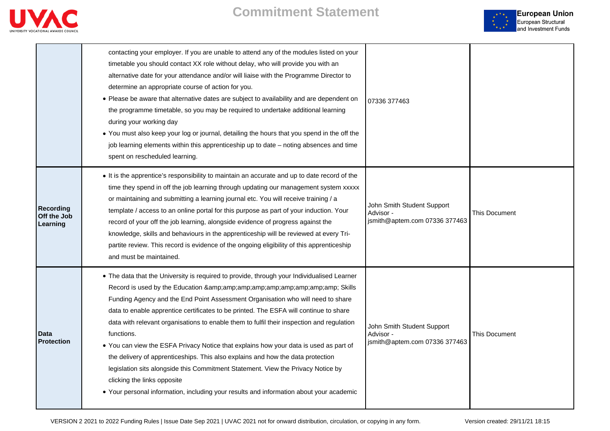



|                                      | contacting your employer. If you are unable to attend any of the modules listed on your<br>timetable you should contact XX role without delay, who will provide you with an<br>alternative date for your attendance and/or will liaise with the Programme Director to<br>determine an appropriate course of action for you.<br>• Please be aware that alternative dates are subject to availability and are dependent on<br>the programme timetable, so you may be required to undertake additional learning<br>during your working day<br>. You must also keep your log or journal, detailing the hours that you spend in the off the<br>job learning elements within this apprenticeship up to date - noting absences and time<br>spent on rescheduled learning.                                                      | 07336 377463                                                             |                      |
|--------------------------------------|-------------------------------------------------------------------------------------------------------------------------------------------------------------------------------------------------------------------------------------------------------------------------------------------------------------------------------------------------------------------------------------------------------------------------------------------------------------------------------------------------------------------------------------------------------------------------------------------------------------------------------------------------------------------------------------------------------------------------------------------------------------------------------------------------------------------------|--------------------------------------------------------------------------|----------------------|
| Recording<br>Off the Job<br>Learning | • It is the apprentice's responsibility to maintain an accurate and up to date record of the<br>time they spend in off the job learning through updating our management system xxxxx<br>or maintaining and submitting a learning journal etc. You will receive training / a<br>template / access to an online portal for this purpose as part of your induction. Your<br>record of your off the job learning, alongside evidence of progress against the<br>knowledge, skills and behaviours in the apprenticeship will be reviewed at every Tri-<br>partite review. This record is evidence of the ongoing eligibility of this apprenticeship<br>and must be maintained.                                                                                                                                               | John Smith Student Support<br>Advisor -<br>jsmith@aptem.com 07336 377463 | <b>This Document</b> |
| Data<br><b>Protection</b>            | • The data that the University is required to provide, through your Individualised Learner<br>Record is used by the Education & Skills<br>Funding Agency and the End Point Assessment Organisation who will need to share<br>data to enable apprentice certificates to be printed. The ESFA will continue to share<br>data with relevant organisations to enable them to fulfil their inspection and regulation<br>functions.<br>• You can view the ESFA Privacy Notice that explains how your data is used as part of<br>the delivery of apprenticeships. This also explains and how the data protection<br>legislation sits alongside this Commitment Statement. View the Privacy Notice by<br>clicking the links opposite<br>• Your personal information, including your results and information about your academic | John Smith Student Support<br>Advisor -<br>jsmith@aptem.com 07336 377463 | <b>This Document</b> |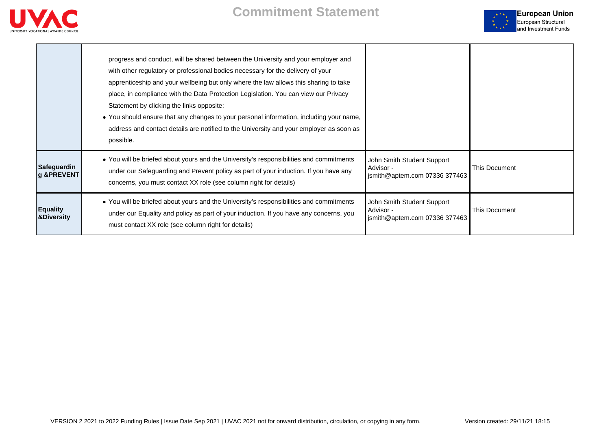

**The Community** 



|                                          | progress and conduct, will be shared between the University and your employer and<br>with other regulatory or professional bodies necessary for the delivery of your<br>apprenticeship and your wellbeing but only where the law allows this sharing to take<br>place, in compliance with the Data Protection Legislation. You can view our Privacy<br>Statement by clicking the links opposite:<br>. You should ensure that any changes to your personal information, including your name,<br>address and contact details are notified to the University and your employer as soon as<br>possible. |                                                                          |               |
|------------------------------------------|-----------------------------------------------------------------------------------------------------------------------------------------------------------------------------------------------------------------------------------------------------------------------------------------------------------------------------------------------------------------------------------------------------------------------------------------------------------------------------------------------------------------------------------------------------------------------------------------------------|--------------------------------------------------------------------------|---------------|
| Safeguardin<br>g &PREVENT                | • You will be briefed about yours and the University's responsibilities and commitments<br>under our Safeguarding and Prevent policy as part of your induction. If you have any<br>concerns, you must contact XX role (see column right for details)                                                                                                                                                                                                                                                                                                                                                | John Smith Student Support<br>Advisor -<br>jsmith@aptem.com 07336 377463 | This Document |
| <b>Equality</b><br><b>&amp;Diversity</b> | • You will be briefed about yours and the University's responsibilities and commitments<br>under our Equality and policy as part of your induction. If you have any concerns, you<br>must contact XX role (see column right for details)                                                                                                                                                                                                                                                                                                                                                            | John Smith Student Support<br>Advisor -<br>jsmith@aptem.com 07336 377463 | This Document |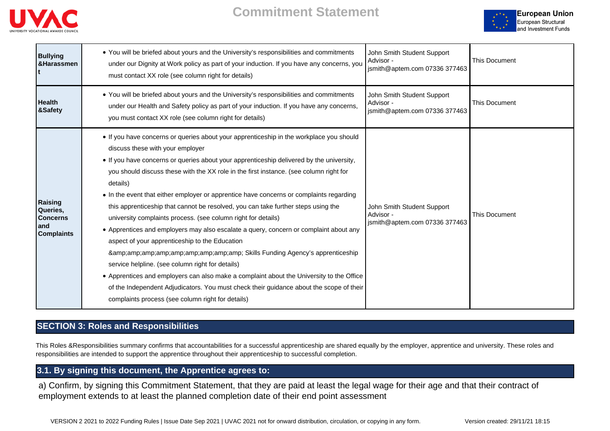



| <b>Bullying</b><br>&Harassmen                                      | • You will be briefed about yours and the University's responsibilities and commitments<br>under our Dignity at Work policy as part of your induction. If you have any concerns, you<br>must contact XX role (see column right for details)                                                                                                                                                                                                                                                                                                                                                                                                                                                                                                                                                                                                                                                                                                                                                                                                                           | John Smith Student Support<br>Advisor -<br>jsmith@aptem.com 07336 377463 | <b>This Document</b> |
|--------------------------------------------------------------------|-----------------------------------------------------------------------------------------------------------------------------------------------------------------------------------------------------------------------------------------------------------------------------------------------------------------------------------------------------------------------------------------------------------------------------------------------------------------------------------------------------------------------------------------------------------------------------------------------------------------------------------------------------------------------------------------------------------------------------------------------------------------------------------------------------------------------------------------------------------------------------------------------------------------------------------------------------------------------------------------------------------------------------------------------------------------------|--------------------------------------------------------------------------|----------------------|
| <b>Health</b><br>&Safety                                           | • You will be briefed about yours and the University's responsibilities and commitments<br>under our Health and Safety policy as part of your induction. If you have any concerns,<br>you must contact XX role (see column right for details)                                                                                                                                                                                                                                                                                                                                                                                                                                                                                                                                                                                                                                                                                                                                                                                                                         | John Smith Student Support<br>Advisor -<br>jsmith@aptem.com 07336 377463 | <b>This Document</b> |
| Raising<br>Queries,<br><b>Concerns</b><br>and<br><b>Complaints</b> | • If you have concerns or queries about your apprenticeship in the workplace you should<br>discuss these with your employer<br>• If you have concerns or queries about your apprenticeship delivered by the university,<br>you should discuss these with the XX role in the first instance. (see column right for<br>details)<br>• In the event that either employer or apprentice have concerns or complaints regarding<br>this apprenticeship that cannot be resolved, you can take further steps using the<br>university complaints process. (see column right for details)<br>• Apprentices and employers may also escalate a query, concern or complaint about any<br>aspect of your apprenticeship to the Education<br>& Skills Funding Agency's apprenticeship<br>service helpline. (see column right for details)<br>• Apprentices and employers can also make a complaint about the University to the Office<br>of the Independent Adjudicators. You must check their guidance about the scope of their<br>complaints process (see column right for details) | John Smith Student Support<br>Advisor -<br>jsmith@aptem.com 07336 377463 | <b>This Document</b> |

# **SECTION 3: Roles and Responsibilities**

This Roles &Responsibilities summary confirms that accountabilities for a successful apprenticeship are shared equally by the employer, apprentice and university. These roles and responsibilities are intended to support the apprentice throughout their apprenticeship to successful completion.

## **3.1. By signing this document, the Apprentice agrees to:**

a) Confirm, by signing this Commitment Statement, that they are paid at least the legal wage for their age and that their contract of employment extends to at least the planned completion date of their end point assessment

VERSION 2 2021 to 2022 Funding Rules | Issue Date Sep 2021 | UVAC 2021 not for onward distribution, circulation, or copying in any form. Version created: 29/11/21 18:15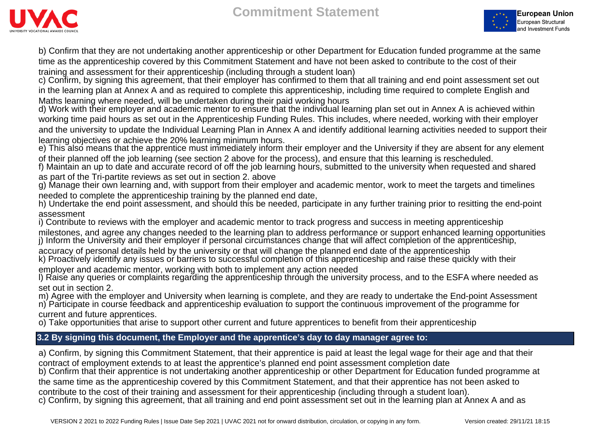



b) Confirm that they are not undertaking another apprenticeship or other Department for Education funded programme at the same time as the apprenticeship covered by this Commitment Statement and have not been asked to contribute to the cost of their training and assessment for their apprenticeship (including through a student loan)

c) Confirm, by signing this agreement, that their employer has confirmed to them that all training and end point assessment set out in the learning plan at Annex A and as required to complete this apprenticeship, including time required to complete English and Maths learning where needed, will be undertaken during their paid working hours

d) Work with their employer and academic mentor to ensure that the individual learning plan set out in Annex A is achieved within working time paid hours as set out in the Apprenticeship Funding Rules. This includes, where needed, working with their employer and the university to update the Individual Learning Plan in Annex A and identify additional learning activities needed to support their learning objectives or achieve the 20% learning minimum hours.

e) This also means that the apprentice must immediately inform their employer and the University if they are absent for any element of their planned off the job learning (see section 2 above for the process), and ensure that this learning is rescheduled.

f) Maintain an up to date and accurate record of off the job learning hours, submitted to the university when requested and shared as part of the Tri-partite reviews as set out in section 2. above

g) Manage their own learning and, with support from their employer and academic mentor, work to meet the targets and timelines needed to complete the apprenticeship training by the planned end date,

h) Undertake the end point assessment, and should this be needed, participate in any further training prior to resitting the end-point assessment

i) Contribute to reviews with the employer and academic mentor to track progress and success in meeting apprenticeship

milestones, and agree any changes needed to the learning plan to address performance or support enhanced learning opportunities j) Inform the University and their employer if personal circumstances change that will affect completion of the apprenticeship,

accuracy of personal details held by the university or that will change the planned end date of the apprenticeship k) Proactively identify any issues or barriers to successful completion of this apprenticeship and raise these quickly with their

employer and academic mentor, working with both to implement any action needed

l) Raise any queries or complaints regarding the apprenticeship through the university process, and to the ESFA where needed as set out in section 2.

m) Agree with the employer and University when learning is complete, and they are ready to undertake the End-point Assessment n) Participate in course feedback and apprenticeship evaluation to support the continuous improvement of the programme for

current and future apprentices.

o) Take opportunities that arise to support other current and future apprentices to benefit from their apprenticeship

# **3.2 By signing this document, the Employer and the apprentice's day to day manager agree to:**

a) Confirm, by signing this Commitment Statement, that their apprentice is paid at least the legal wage for their age and that their contract of employment extends to at least the apprentice's planned end point assessment completion date b) Confirm that their apprentice is not undertaking another apprenticeship or other Department for Education funded programme at the same time as the apprenticeship covered by this Commitment Statement, and that their apprentice has not been asked to contribute to the cost of their training and assessment for their apprenticeship (including through a student loan). c) Confirm, by signing this agreement, that all training and end point assessment set out in the learning plan at Annex A and as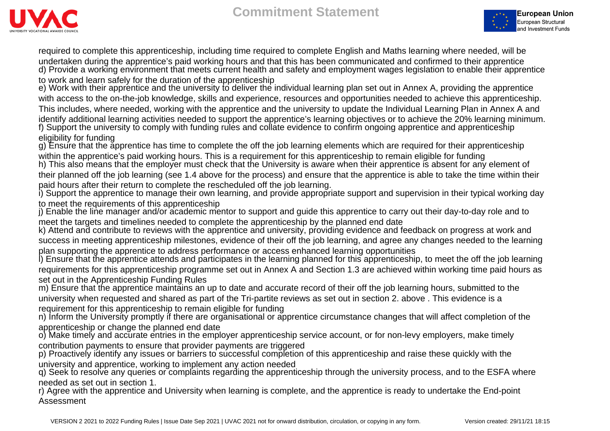



required to complete this apprenticeship, including time required to complete English and Maths learning where needed, will be undertaken during the apprentice's paid working hours and that this has been communicated and confirmed to their apprentice d) Provide a working environment that meets current health and safety and employment wages legislation to enable their apprentice to work and learn safely for the duration of the apprenticeship

e) Work with their apprentice and the university to deliver the individual learning plan set out in Annex A, providing the apprentice with access to the on-the-job knowledge, skills and experience, resources and opportunities needed to achieve this apprenticeship. This includes, where needed, working with the apprentice and the university to update the Individual Learning Plan in Annex A and identify additional learning activities needed to support the apprentice's learning objectives or to achieve the 20% learning minimum. f) Support the university to comply with funding rules and collate evidence to confirm ongoing apprentice and apprenticeship eligibility for funding

g) Ensure that the apprentice has time to complete the off the job learning elements which are required for their apprenticeship within the apprentice's paid working hours. This is a requirement for this apprenticeship to remain eligible for funding h) This also means that the employer must check that the University is aware when their apprentice is absent for any element of

their planned off the job learning (see 1.4 above for the process) and ensure that the apprentice is able to take the time within their paid hours after their return to complete the rescheduled off the job learning.

i) Support the apprentice to manage their own learning, and provide appropriate support and supervision in their typical working day to meet the requirements of this apprenticeship

j) Enable the line manager and/or academic mentor to support and guide this apprentice to carry out their day-to-day role and to meet the targets and timelines needed to complete the apprenticeship by the planned end date

k) Attend and contribute to reviews with the apprentice and university, providing evidence and feedback on progress at work and

success in meeting apprenticeship milestones, evidence of their off the job learning, and agree any changes needed to the learning plan supporting the apprentice to address performance or access enhanced learning opportunities

l) Ensure that the apprentice attends and participates in the learning planned for this apprenticeship, to meet the off the job learning requirements for this apprenticeship programme set out in Annex A and Section 1.3 are achieved within working time paid hours as set out in the Apprenticeship Funding Rules

m) Ensure that the apprentice maintains an up to date and accurate record of their off the job learning hours, submitted to the university when requested and shared as part of the Tri-partite reviews as set out in section 2. above . This evidence is a requirement for this apprenticeship to remain eligible for funding

n) Inform the University promptly if there are organisational or apprentice circumstance changes that will affect completion of the apprenticeship or change the planned end date

o) Make timely and accurate entries in the employer apprenticeship service account, or for non-levy employers, make timely contribution payments to ensure that provider payments are triggered

p) Proactively identify any issues or barriers to successful completion of this apprenticeship and raise these quickly with the university and apprentice, working to implement any action needed

q) Seek to resolve any queries or complaints regarding the apprenticeship through the university process, and to the ESFA where needed as set out in section 1.

r) Agree with the apprentice and University when learning is complete, and the apprentice is ready to undertake the End-point Assessment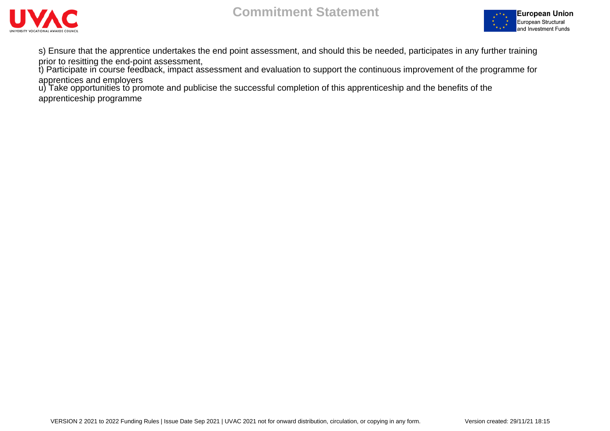



s) Ensure that the apprentice undertakes the end point assessment, and should this be needed, participates in any further training prior to resitting the end-point assessment,

t) Participate in course feedback, impact assessment and evaluation to support the continuous improvement of the programme for apprentices and employers

u) Take opportunities to promote and publicise the successful completion of this apprenticeship and the benefits of the apprenticeship programme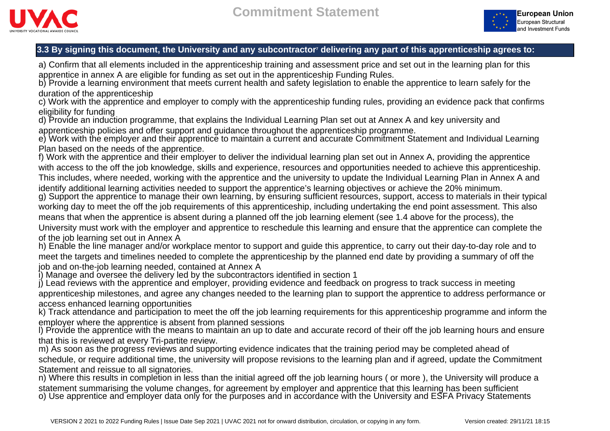



## **3.3 By signing this document, the University and any subcontractor<sup>7</sup> delivering any part of this apprenticeship agrees to:**

a) Confirm that all elements included in the apprenticeship training and assessment price and set out in the learning plan for this apprentice in annex A are eligible for funding as set out in the apprenticeship Funding Rules.

b) Provide a learning environment that meets current health and safety legislation to enable the apprentice to learn safely for the duration of the apprenticeship

c) Work with the apprentice and employer to comply with the apprenticeship funding rules, providing an evidence pack that confirms eligibility for funding

d) Provide an induction programme, that explains the Individual Learning Plan set out at Annex A and key university and apprenticeship policies and offer support and guidance throughout the apprenticeship programme.

e) Work with the employer and their apprentice to maintain a current and accurate Commitment Statement and Individual Learning Plan based on the needs of the apprentice.

f) Work with the apprentice and their employer to deliver the individual learning plan set out in Annex A, providing the apprentice with access to the off the job knowledge, skills and experience, resources and opportunities needed to achieve this apprenticeship. This includes, where needed, working with the apprentice and the university to update the Individual Learning Plan in Annex A and identify additional learning activities needed to support the apprentice's learning objectives or achieve the 20% minimum. g) Support the apprentice to manage their own learning, by ensuring sufficient resources, support, access to materials in their typical

working day to meet the off the job requirements of this apprenticeship, including undertaking the end point assessment. This also means that when the apprentice is absent during a planned off the job learning element (see 1.4 above for the process), the

University must work with the employer and apprentice to reschedule this learning and ensure that the apprentice can complete the of the job learning set out in Annex A

h) Enable the line manager and/or workplace mentor to support and guide this apprentice, to carry out their day-to-day role and to meet the targets and timelines needed to complete the apprenticeship by the planned end date by providing a summary of off the job and on-the-job learning needed, contained at Annex A

i) Manage and oversee the delivery led by the subcontractors identified in section 1

j) Lead reviews with the apprentice and employer, providing evidence and feedback on progress to track success in meeting apprenticeship milestones, and agree any changes needed to the learning plan to support the apprentice to address performance or access enhanced learning opportunities

k) Track attendance and participation to meet the off the job learning requirements for this apprenticeship programme and inform the employer where the apprentice is absent from planned sessions

l) Provide the apprentice with the means to maintain an up to date and accurate record of their off the job learning hours and ensure that this is reviewed at every Tri-partite review.

m) As soon as the progress reviews and supporting evidence indicates that the training period may be completed ahead of schedule, or require additional time, the university will propose revisions to the learning plan and if agreed, update the Commitment Statement and reissue to all signatories.

n) Where this results in completion in less than the initial agreed off the job learning hours ( or more ), the University will produce a statement summarising the volume changes, for agreement by employer and apprentice that this learning has been sufficient o) Use apprentice and employer data only for the purposes and in accordance with the University and ESFA Privacy Statements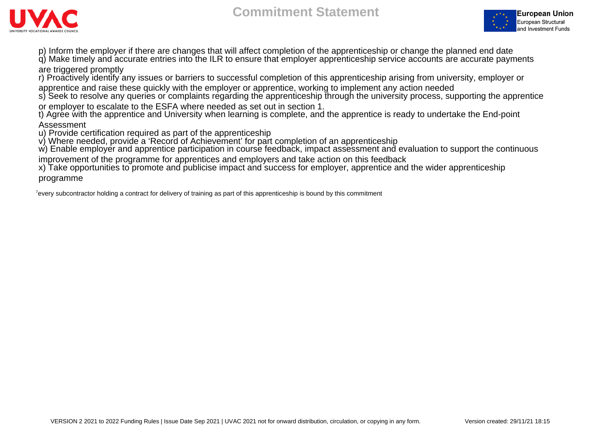



p) Inform the employer if there are changes that will affect completion of the apprenticeship or change the planned end date q) Make timely and accurate entries into the ILR to ensure that employer apprenticeship service accounts are accurate payments

## are triggered promptly

r) Proactively identify any issues or barriers to successful completion of this apprenticeship arising from university, employer or

apprentice and raise these quickly with the employer or apprentice, working to implement any action needed s) Seek to resolve any queries or complaints regarding the apprenticeship through the university process, supporting the apprentice

or employer to escalate to the ESFA where needed as set out in section 1.

t) Agree with the apprentice and University when learning is complete, and the apprentice is ready to undertake the End-point Assessment

u) Provide certification required as part of the apprenticeship

v) Where needed, provide a 'Record of Achievement' for part completion of an apprenticeship

w) Enable employer and apprentice participation in course feedback, impact assessment and evaluation to support the continuous

improvement of the programme for apprentices and employers and take action on this feedback

x) Take opportunities to promote and publicise impact and success for employer, apprentice and the wider apprenticeship programme

<sup>7</sup>every subcontractor holding a contract for delivery of training as part of this apprenticeship is bound by this commitment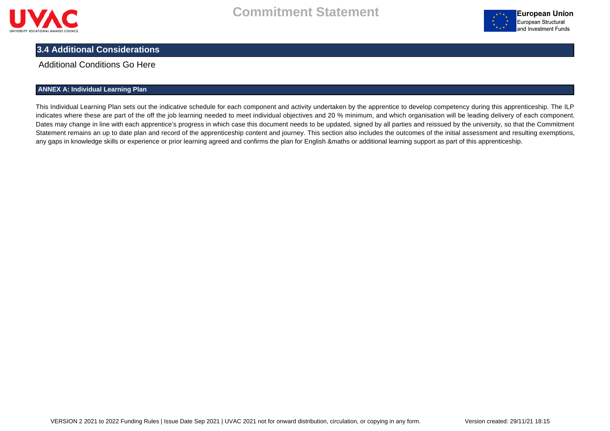



# **3.4 Additional Considerations**

## Additional Conditions Go Here

## **ANNEX A: Individual Learning Plan**

This Individual Learning Plan sets out the indicative schedule for each component and activity undertaken by the apprentice to develop competency during this apprenticeship. The ILP indicates where these are part of the off the job learning needed to meet individual objectives and 20 % minimum, and which organisation will be leading delivery of each component. Dates may change in line with each apprentice's progress in which case this document needs to be updated, signed by all parties and reissued by the university, so that the Commitment Statement remains an up to date plan and record of the apprenticeship content and journey. This section also includes the outcomes of the initial assessment and resulting exemptions, any gaps in knowledge skills or experience or prior learning agreed and confirms the plan for English &maths or additional learning support as part of this apprenticeship.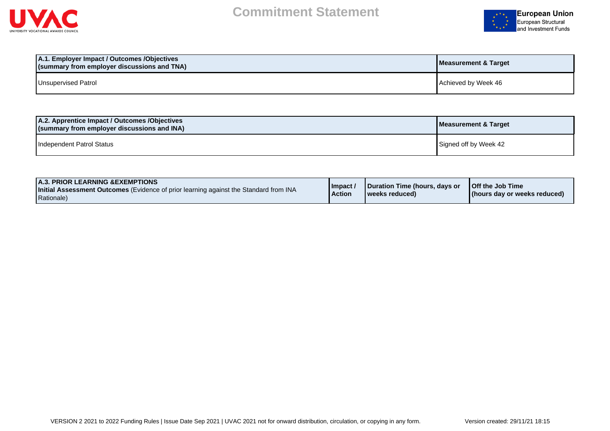



| A.1. Employer Impact / Outcomes /Objectives<br>(summary from employer discussions and TNA) | Measurement & Target |
|--------------------------------------------------------------------------------------------|----------------------|
| Unsupervised Patrol                                                                        | Achieved by Week 46  |

| A.2. Apprentice Impact / Outcomes / Objectives<br>(summary from employer discussions and INA) | Measurement & Target  |
|-----------------------------------------------------------------------------------------------|-----------------------|
| Independent Patrol Status                                                                     | Signed off by Week 42 |

| <b>A.3. PRIOR LEARNING &amp; EXEMPTIONS</b><br><b>Initial Assessment Outcomes</b> (Evidence of prior learning against the Standard from INA<br>Rationale) | 'Impact /<br><b>Action</b> | Duration Time (hours, days or<br>weeks reduced) | <b>Off the Job Time</b><br>(hours day or weeks reduced) |
|-----------------------------------------------------------------------------------------------------------------------------------------------------------|----------------------------|-------------------------------------------------|---------------------------------------------------------|
|-----------------------------------------------------------------------------------------------------------------------------------------------------------|----------------------------|-------------------------------------------------|---------------------------------------------------------|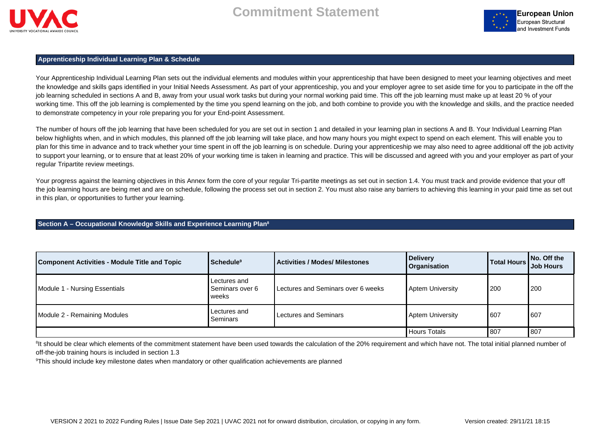



## **Apprenticeship Individual Learning Plan & Schedule**

Your Apprenticeship Individual Learning Plan sets out the individual elements and modules within your apprenticeship that have been designed to meet your learning objectives and meet the knowledge and skills gaps identified in your Initial Needs Assessment. As part of your apprenticeship, you and your employer agree to set aside time for you to participate in the off the job learning scheduled in sections A and B, away from your usual work tasks but during your normal working paid time. This off the job learning must make up at least 20 % of your working time. This off the job learning is complemented by the time you spend learning on the job, and both combine to provide you with the knowledge and skills, and the practice needed to demonstrate competency in your role preparing you for your End-point Assessment.

The number of hours off the job learning that have been scheduled for you are set out in section 1 and detailed in your learning plan in sections A and B. Your Individual Learning Plan below highlights when, and in which modules, this planned off the job learning will take place, and how many hours you might expect to spend on each element. This will enable you to plan for this time in advance and to track whether your time spent in off the job learning is on schedule. During your apprenticeship we may also need to agree additional off the job activity to support your learning, or to ensure that at least 20% of your working time is taken in learning and practice. This will be discussed and agreed with you and your employer as part of your regular Tripartite review meetings.

Your progress against the learning objectives in this Annex form the core of your regular Tri-partite meetings as set out in section 1.4. You must track and provide evidence that your off the job learning hours are being met and are on schedule, following the process set out in section 2. You must also raise any barriers to achieving this learning in your paid time as set out in this plan, or opportunities to further your learning.

#### **Section A – Occupational Knowledge Skills and Experience Learning Plan<sup>8</sup>**

| <b>Component Activities - Module Title and Topic</b> | Schedule <sup>9</sup>                    | <b>Activities / Modes/ Milestones</b> | Delivery<br>  Organisation | Total Hours | $\vert$ No. Off the<br><b>Job Hours</b> |
|------------------------------------------------------|------------------------------------------|---------------------------------------|----------------------------|-------------|-----------------------------------------|
| Module 1 - Nursing Essentials                        | Lectures and<br>Seminars over 6<br>weeks | Lectures and Seminars over 6 weeks    | Aptem University           | 200         | 200                                     |
| Module 2 - Remaining Modules                         | Lectures and<br>Seminars                 | Lectures and Seminars                 | Aptem University           | 607         | 607                                     |
|                                                      |                                          |                                       | Hours Totals               | 807         | 807                                     |

<sup>8</sup>It should be clear which elements of the commitment statement have been used towards the calculation of the 20% requirement and which have not. The total initial planned number of off-the-job training hours is included in section 1.3

<sup>9</sup>This should include key milestone dates when mandatory or other qualification achievements are planned